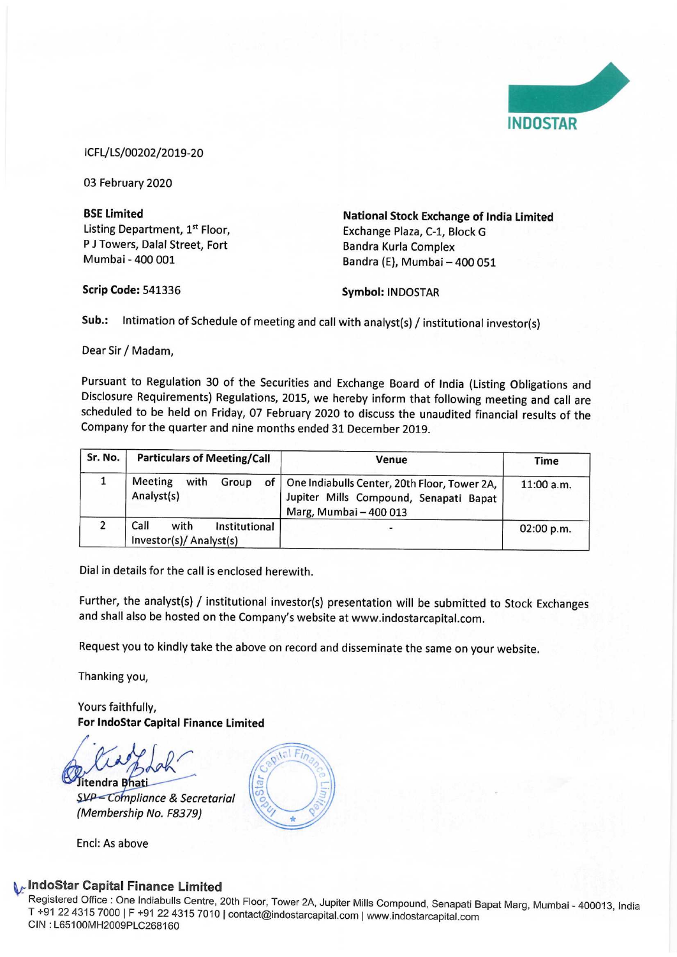

## ICFL/LS/00202/2019-20

Pursuant to Regulation 30 of the Securities and Exchange Board of India (Listing Obligations and Disclosure Requirements) Regulations, 2015, we hereby inform that following meeting and call are scheduled to be held on Friday, 07 February 2020 to discuss the unaudited financial results of the ICFL/LS/00202/2019-20<br>
03 February 2020<br>
BSE Limited<br>
Listing Department, 1<sup>st</sup> Floor,<br>
P J Towers, Dalal Street, Fort<br>
Mumbai - 400 001<br>
Scrip Code: 541336<br>
Sub.: Intimation of Schedule of meeting and call<br>
Dear Sir / Mad ICFL/LS/00202/2019-20<br>
03 February 2020<br> **BSE Limited**<br>
Listing Department, 1<sup>st</sup> Floor,<br>
P J Towers, Dalal Street, Fort<br>
Mumbai - 400 001<br> **Scrip Code:** 541336<br> **Sub.:** Intimation of Schedule of meeting and call<br>
Dear Si Company for the quarter and nine months ended 31 December 2019.

|                    |                                                                                      |                                                                                                                                                                                                                                                                                                            | <b>INDOSTAR</b> |  |  |  |
|--------------------|--------------------------------------------------------------------------------------|------------------------------------------------------------------------------------------------------------------------------------------------------------------------------------------------------------------------------------------------------------------------------------------------------------|-----------------|--|--|--|
|                    | ICFL/LS/00202/2019-20                                                                |                                                                                                                                                                                                                                                                                                            |                 |  |  |  |
|                    | 03 February 2020                                                                     |                                                                                                                                                                                                                                                                                                            |                 |  |  |  |
| <b>BSE Limited</b> | Listing Department, 1st Floor,<br>P J Towers, Dalal Street, Fort<br>Mumbai - 400 001 | <b>National Stock Exchange of India Limited</b><br>Exchange Plaza, C-1, Block G<br>Bandra Kurla Complex<br>Bandra (E), Mumbai - 400 051                                                                                                                                                                    |                 |  |  |  |
|                    | <b>Scrip Code: 541336</b>                                                            | <b>Symbol: INDOSTAR</b>                                                                                                                                                                                                                                                                                    |                 |  |  |  |
| Sub.:              |                                                                                      | Intimation of Schedule of meeting and call with analyst(s) / institutional investor(s)                                                                                                                                                                                                                     |                 |  |  |  |
|                    | Dear Sir / Madam,                                                                    |                                                                                                                                                                                                                                                                                                            |                 |  |  |  |
|                    | Company for the quarter and nine months ended 31 December 2019.                      | Pursuant to Regulation 30 of the Securities and Exchange Board of India (Listing Obligations and<br>Disclosure Requirements) Regulations, 2015, we hereby inform that following meeting and call are<br>scheduled to be held on Friday, 07 February 2020 to discuss the unaudited financial results of the |                 |  |  |  |
| Sr. No.            | <b>Particulars of Meeting/Call</b>                                                   | Venue                                                                                                                                                                                                                                                                                                      | <b>Time</b>     |  |  |  |
| $\mathbf{1}$       | Meeting<br>with<br>Group<br>of<br>Analyst(s)                                         | One Indiabulls Center, 20th Floor, Tower 2A,<br>Jupiter Mills Compound, Senapati Bapat<br>Marg, Mumbai - 400 013                                                                                                                                                                                           | 11:00 a.m.      |  |  |  |
| $\overline{2}$     | Call<br>with<br>Institutional<br>Investor(s)/ Analyst(s)                             |                                                                                                                                                                                                                                                                                                            | 02:00 p.m.      |  |  |  |

Dial in details for the call is enclosed herewith.

Further, the analyst(s) / institutional investor(s) presentation will be submitted to Stock Exchanges and shall also be hosted on the Company's website at www.indostarcapital.com.

Request you to kindly take the above on record and disseminate the same on your website.

Thanking you,

Yours faithfully,

For IndoStar Capital Finance Limited<br>
Fitendra Bhati<br>
SVP – Compliance & Secretarial

(Membership No. F8379)

Encl: As above

# , IndoStar Capital Finance Limited

Registered Office : One Indiabulls Centre, 20th Floor, Tower 2A, Jupiter Mills Compound, Senapati Bapat Marg, Mumbai - 400013, India<br>T +91 22 4315 7000 | F +91 22 4315 7010 | contact@indostarcapital.com | www.indostarcapit T +91 22 4315 7000 | F +91 22 4315 7010 | contact@indostarcapital.com | www.indostarcapital.com<br>CIN : L65100MH2009PLC268160

 $|e|F$